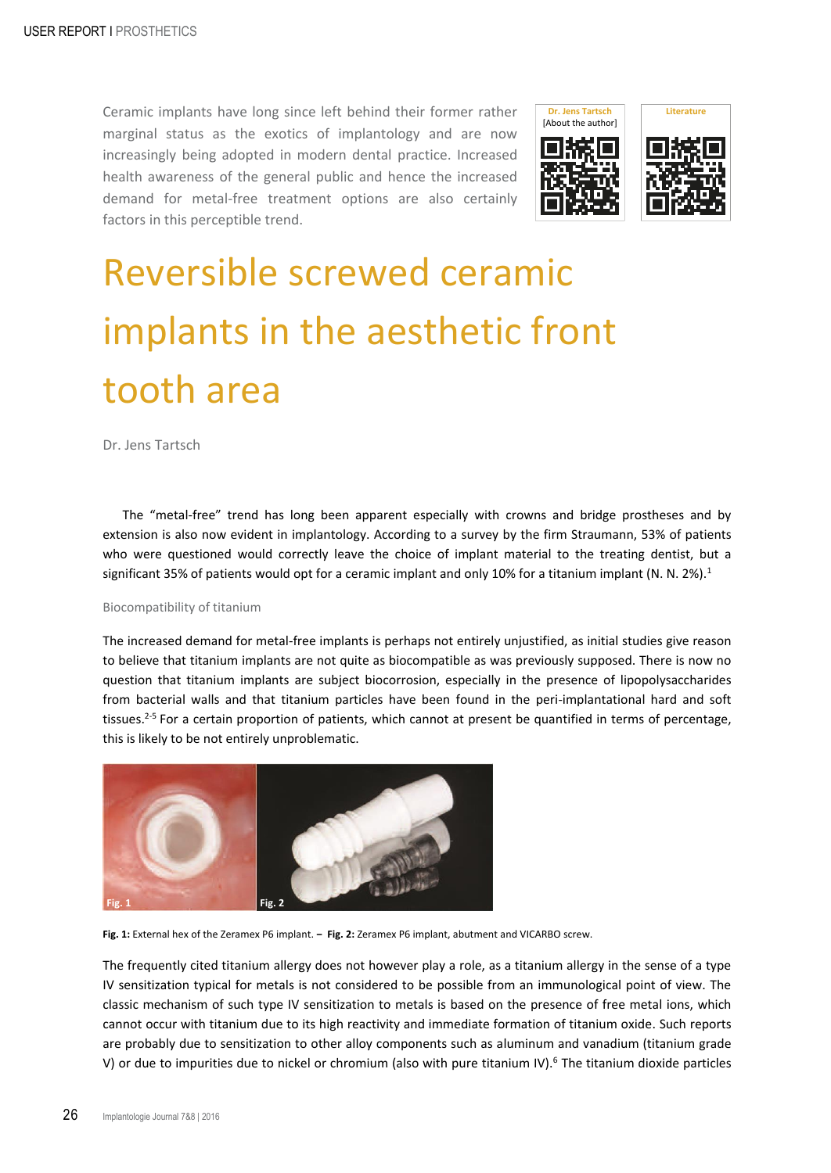Ceramic implants have long since left behind their former rather marginal status as the exotics of implantology and are now increasingly being adopted in modern dental practice. Increased health awareness of the general public and hence the increased demand for metal-free treatment options are also certainly factors in this perceptible trend.





# Reversible screwed ceramic implants in the aesthetic front tooth area

Dr. Jens Tartsch

The "metal-free" trend has long been apparent especially with crowns and bridge prostheses and by extension is also now evident in implantology. According to a survey by the firm Straumann, 53% of patients who were questioned would correctly leave the choice of implant material to the treating dentist, but a significant 35% of patients would opt for a ceramic implant and only 10% for a titanium implant (N. N. 2%).<sup>1</sup>

# Biocompatibility of titanium

The increased demand for metal-free implants is perhaps not entirely unjustified, as initial studies give reason to believe that titanium implants are not quite as biocompatible as was previously supposed. There is now no question that titanium implants are subject biocorrosion, especially in the presence of lipopolysaccharides from bacterial walls and that titanium particles have been found in the peri-implantational hard and soft tissues.<sup>2-5</sup> For a certain proportion of patients, which cannot at present be quantified in terms of percentage, this is likely to be not entirely unproblematic.



<span id="page-0-1"></span><span id="page-0-0"></span>**Fig. 1:** External hex of the Zeramex P6 implant. **‒ Fig. 2:** Zeramex P6 implant, abutment and VICARBO screw.

The frequently cited titanium allergy does not however play a role, as a titanium allergy in the sense of a type IV sensitization typical for metals is not considered to be possible from an immunological point of view. The classic mechanism of such type IV sensitization to metals is based on the presence of free metal ions, which cannot occur with titanium due to its high reactivity and immediate formation of titanium oxide. Such reports are probably due to sensitization to other alloy components such as aluminum and vanadium (titanium grade V) or due to impurities due to nickel or chromium (also with pure titanium IV).<sup>6</sup> The titanium dioxide particles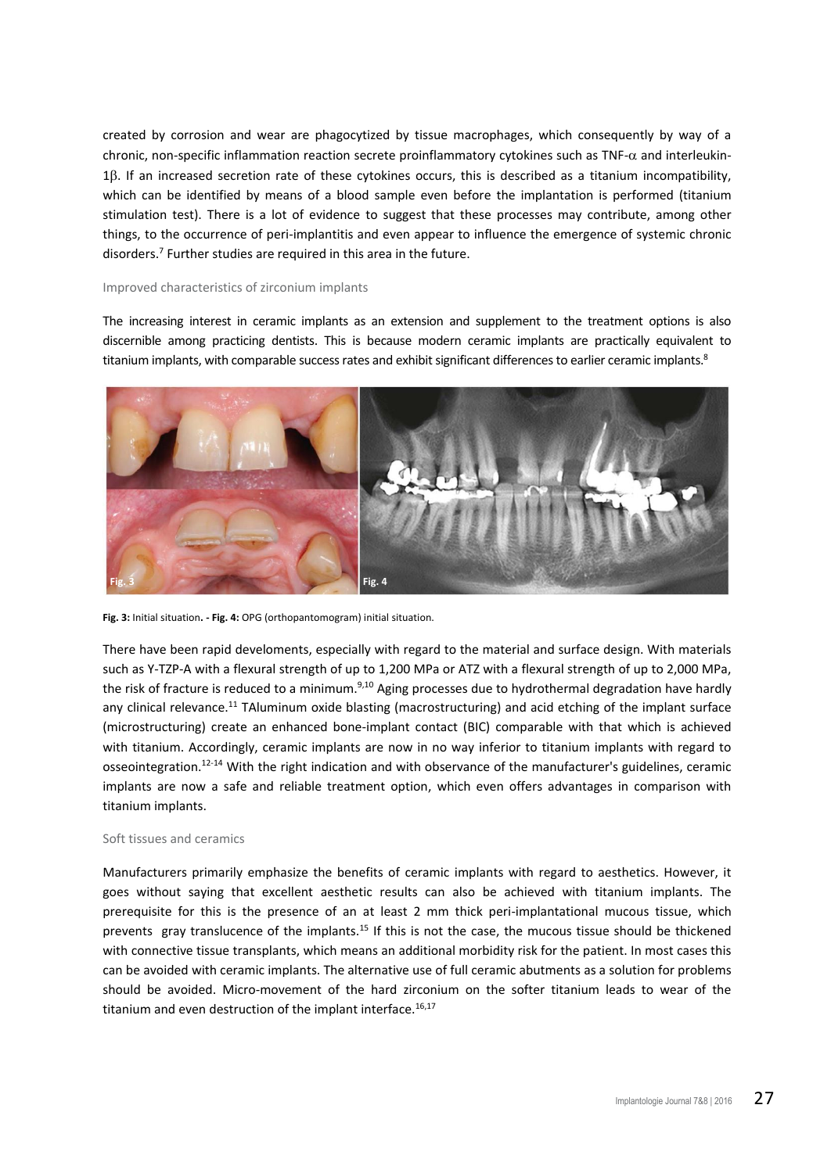created by corrosion and wear are phagocytized by tissue macrophages, which consequently by way of a chronic, non-specific inflammation reaction secrete proinflammatory cytokines such as TNF- $\alpha$  and interleukin-1E. If an increased secretion rate of these cytokines occurs, this is described as a titanium incompatibility, which can be identified by means of a blood sample even before the implantation is performed (titanium stimulation test). There is a lot of evidence to suggest that these processes may contribute, among other things, to the occurrence of peri-implantitis and even appear to influence the emergence of systemic chronic disorders.<sup>7</sup> Further studies are required in this area in the future.

## Improved characteristics of zirconium implants

The increasing interest in ceramic implants as an extension and supplement to the treatment options is also discernible among practicing dentists. This is because modern ceramic implants are practically equivalent to titanium implants, with comparable success rates and exhibit significant differences to earlier ceramic implants.<sup>8</sup>



**Fig. 3:** Initial situation**. - Fig. 4:** OPG (orthopantomogram) initial situation.

<span id="page-1-1"></span><span id="page-1-0"></span>There have been rapid develoments, especially with regard to the material and surface design. With materials such as Y-TZP-A with a flexural strength of up to 1,200 MPa or ATZ with a flexural strength of up to 2,000 MPa, the risk of fracture is reduced to a minimum.<sup>9,10</sup> Aging processes due to hydrothermal degradation have hardly any clinical relevance.<sup>11</sup> TAluminum oxide blasting (macrostructuring) and acid etching of the implant surface (microstructuring) create an enhanced bone-implant contact (BIC) comparable with that which is achieved with titanium. Accordingly, ceramic implants are now in no way inferior to titanium implants with regard to osseointegration.12-14 With the right indication and with observance of the manufacturer's guidelines, ceramic implants are now a safe and reliable treatment option, which even offers advantages in comparison with titanium implants.

#### Soft tissues and ceramics

Manufacturers primarily emphasize the benefits of ceramic implants with regard to aesthetics. However, it goes without saying that excellent aesthetic results can also be achieved with titanium implants. The prerequisite for this is the presence of an at least 2 mm thick peri-implantational mucous tissue, which prevents gray translucence of the implants.15 If this is not the case, the mucous tissue should be thickened with connective tissue transplants, which means an additional morbidity risk for the patient. In most cases this can be avoided with ceramic implants. The alternative use of full ceramic abutments as a solution for problems should be avoided. Micro-movement of the hard zirconium on the softer titanium leads to wear of the titanium and even destruction of the implant interface. $16,17$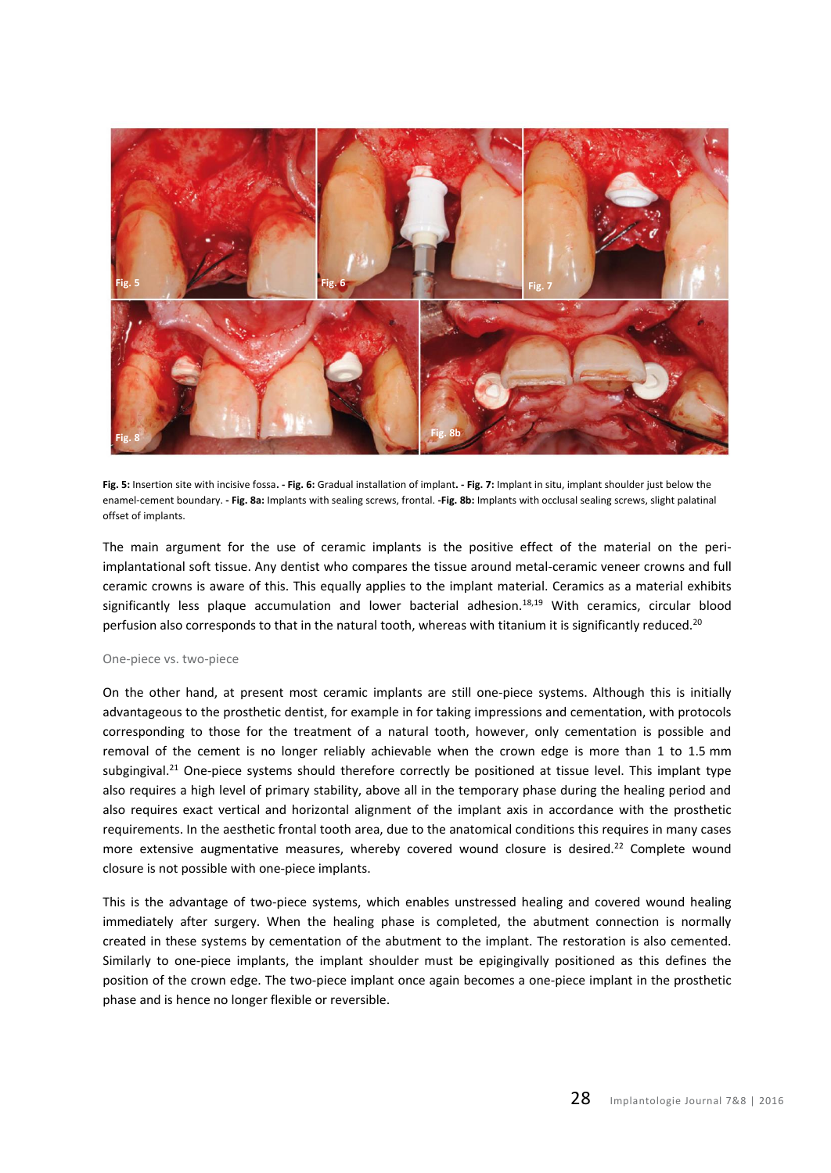

**Fig. 5:** Insertion site with incisive fossa**. - Fig. 6:** Gradual installation of implant**. - Fig. 7:** Implant in situ, implant shoulder just below the enamel-cement boundary. **- Fig. 8a:** Implants with sealing screws, frontal. **-Fig. 8b:** Implants with occlusal sealing screws, slight palatinal offset of implants.

<span id="page-2-2"></span><span id="page-2-1"></span><span id="page-2-0"></span>The main argument for the use of ceramic implants is the positive effect of the material on the periimplantational soft tissue. Any dentist who compares the tissue around metal-ceramic veneer crowns and full ceramic crowns is aware of this. This equally applies to the implant material. Ceramics as a material exhibits significantly less plaque accumulation and lower bacterial adhesion.<sup>18,19</sup> With ceramics, circular blood perfusion also corresponds to that in the natural tooth, whereas with titanium it is significantly reduced.<sup>20</sup>

#### One-piece vs. two-piece

On the other hand, at present most ceramic implants are still one-piece systems. Although this is initially advantageous to the prosthetic dentist, for example in for taking impressions and cementation, with protocols corresponding to those for the treatment of a natural tooth, however, only cementation is possible and removal of the cement is no longer reliably achievable when the crown edge is more than 1 to 1.5 mm subgingival.<sup>21</sup> One-piece systems should therefore correctly be positioned at tissue level. This implant type also requires a high level of primary stability, above all in the temporary phase during the healing period and also requires exact vertical and horizontal alignment of the implant axis in accordance with the prosthetic requirements. In the aesthetic frontal tooth area, due to the anatomical conditions this requires in many cases more extensive augmentative measures, whereby covered wound closure is desired.<sup>22</sup> Complete wound closure is not possible with one-piece implants.

This is the advantage of two-piece systems, which enables unstressed healing and covered wound healing immediately after surgery. When the healing phase is completed, the abutment connection is normally created in these systems by cementation of the abutment to the implant. The restoration is also cemented. Similarly to one-piece implants, the implant shoulder must be epigingivally positioned as this defines the position of the crown edge. The two-piece implant once again becomes a one-piece implant in the prosthetic phase and is hence no longer flexible or reversible.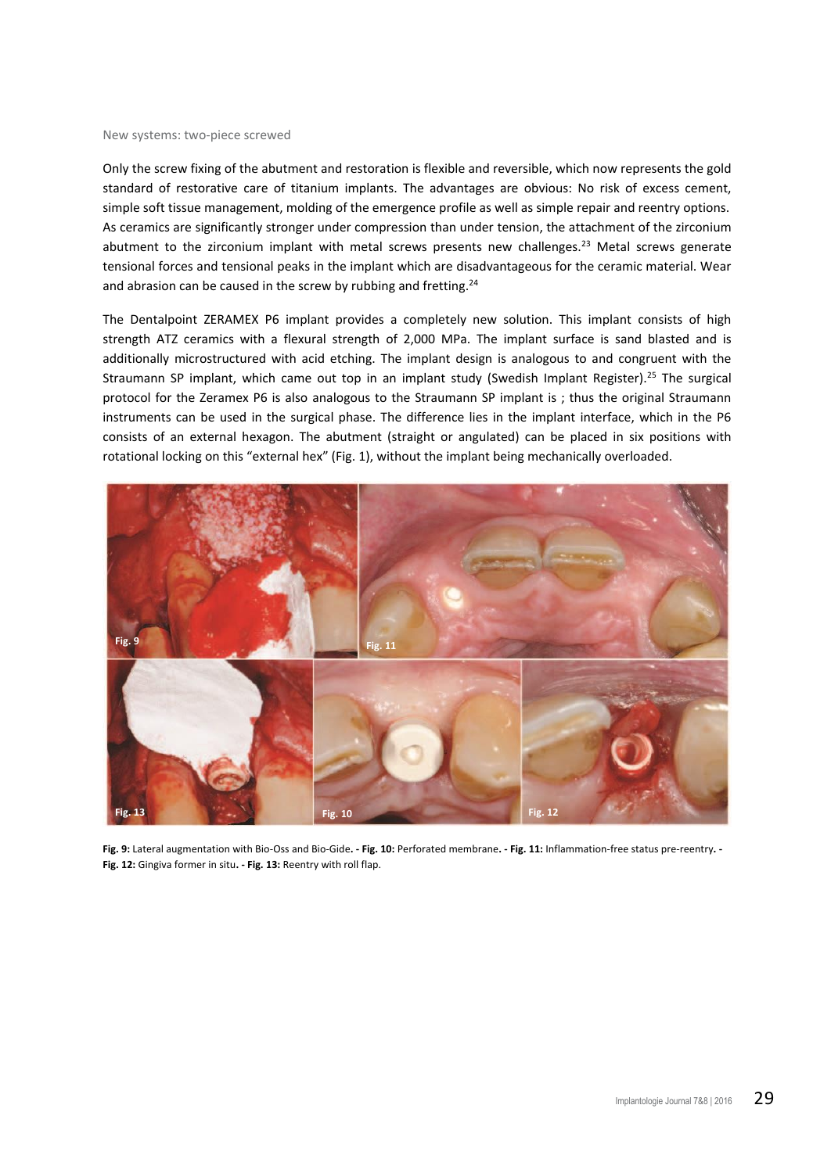#### New systems: two-piece screwed

Only the screw fixing of the abutment and restoration is flexible and reversible, which now represents the gold standard of restorative care of titanium implants. The advantages are obvious: No risk of excess cement, simple soft tissue management, molding of the emergence profile as well as simple repair and reentry options. As ceramics are significantly stronger under compression than under tension, the attachment of the zirconium abutment to the zirconium implant with metal screws presents new challenges.<sup>23</sup> Metal screws generate tensional forces and tensional peaks in the implant which are disadvantageous for the ceramic material. Wear and abrasion can be caused in the screw by rubbing and fretting. $24$ 

The Dentalpoint ZERAMEX P6 implant provides a completely new solution. This implant consists of high strength ATZ ceramics with a flexural strength of 2,000 MPa. The implant surface is sand blasted and is additionally microstructured with acid etching. The implant design is analogous to and congruent with the Straumann SP implant, which came out top in an implant study (Swedish Implant Register).<sup>25</sup> The surgical protocol for the Zeramex P6 is also analogous to the Straumann SP implant is ; thus the original Straumann instruments can be used in the surgical phase. The difference lies in the implant interface, which in the P6 consists of an external hexagon. The abutment (straight or angulated) can be placed in six positions with rotational locking on this "external hex" ([Fig. 1\)](#page-0-0), without the implant being mechanically overloaded.



<span id="page-3-4"></span><span id="page-3-3"></span><span id="page-3-2"></span><span id="page-3-1"></span><span id="page-3-0"></span>**Fig. 9:** Lateral augmentation with Bio-Oss and Bio-Gide**. - Fig. 10:** Perforated membrane**. - Fig. 11:** Inflammation-free status pre-reentry**. - Fig. 12:** Gingiva former in situ**. - Fig. 13:** Reentry with roll flap.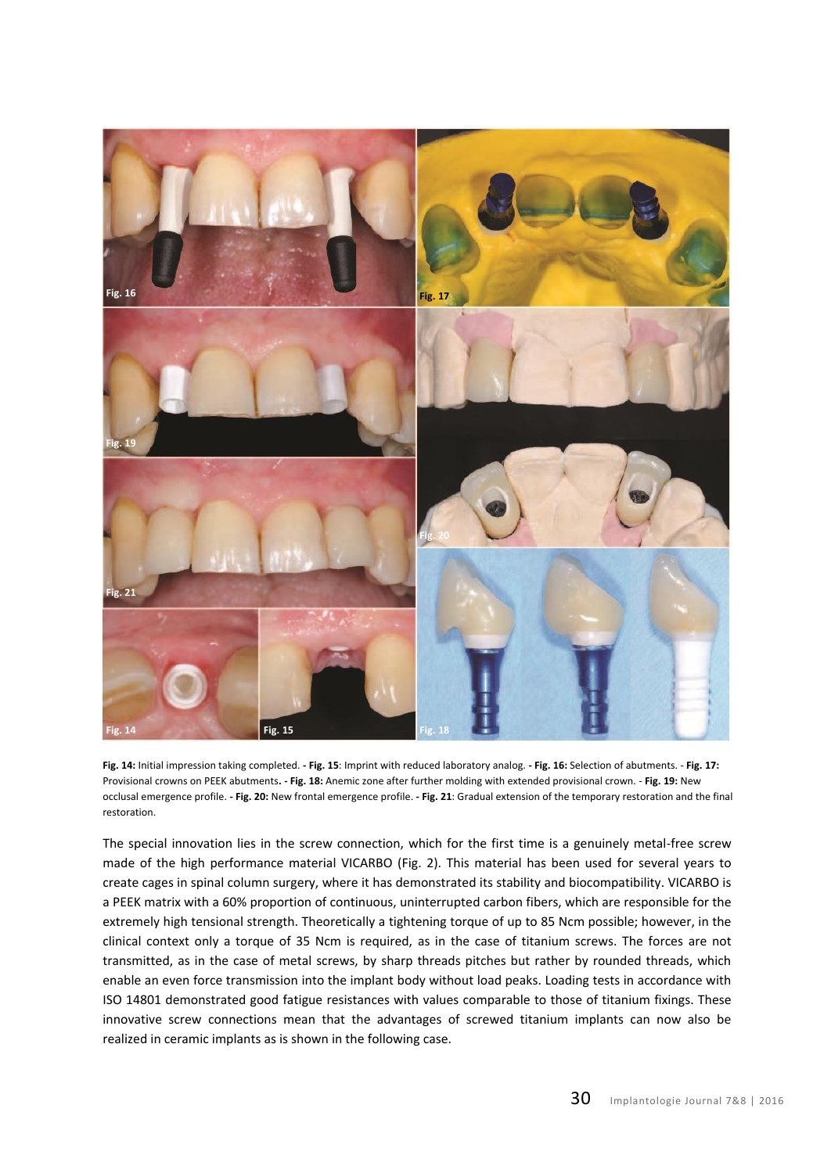

<span id="page-4-5"></span><span id="page-4-4"></span><span id="page-4-3"></span><span id="page-4-2"></span><span id="page-4-1"></span><span id="page-4-0"></span>**Fig. 14:** Initial impression taking completed. **- Fig. 15**: Imprint with reduced laboratory analog. **- Fig. 16:** Selection of abutments. - **Fig. 17:**  Provisional crowns on PEEK abutments**. - Fig. 18:** Anemic zone after further molding with extended provisional crown. - **Fig. 19:** New occlusal emergence profile. **- Fig. 20:** New frontal emergence profile. **- Fig. 21**: Gradual extension of the temporary restoration and the final restoration.

The special innovation lies in the screw connection, which for the first time is a genuinely metal-free screw made of the high performance material VICARBO [\(Fig. 2\)](#page-0-1). This material has been used for several years to create cages in spinal column surgery, where it has demonstrated its stability and biocompatibility. VICARBO is a PEEK matrix with a 60% proportion of continuous, uninterrupted carbon fibers, which are responsible for the extremely high tensional strength. Theoretically a tightening torque of up to 85 Ncm possible; however, in the clinical context only a torque of 35 Ncm is required, as in the case of titanium screws. The forces are not transmitted, as in the case of metal screws, by sharp threads pitches but rather by rounded threads, which enable an even force transmission into the implant body without load peaks. Loading tests in accordance with ISO 14801 demonstrated good fatigue resistances with values comparable to those of titanium fixings. These innovative screw connections mean that the advantages of screwed titanium implants can now also be realized in ceramic implants as is shown in the following case.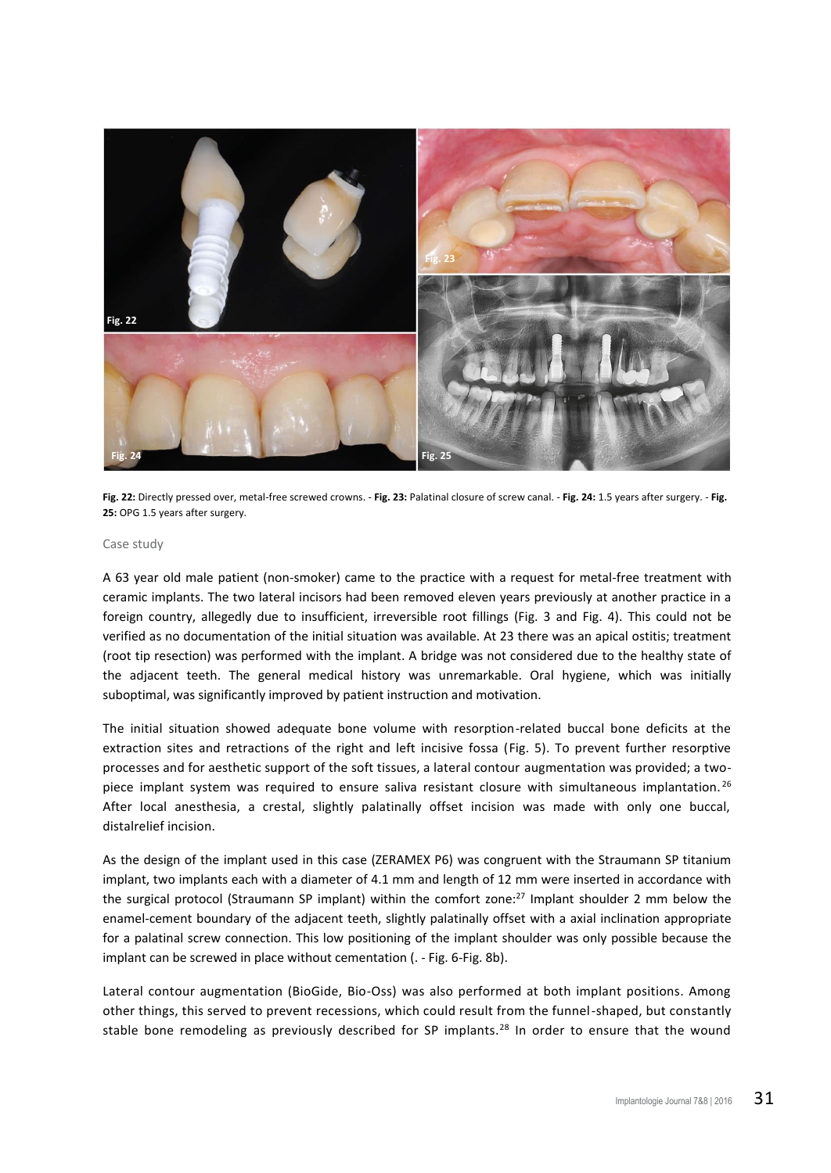

<span id="page-5-1"></span><span id="page-5-0"></span>**Fig. 22:** Directly pressed over, metal-free screwed crowns. - **Fig. 23:** Palatinal closure of screw canal. - **Fig. 24:** 1.5 years after surgery. - **Fig. 25:** OPG 1.5 years after surgery.

### Case study

A 63 year old male patient (non-smoker) came to the practice with a request for metal-free treatment with ceramic implants. The two lateral incisors had been removed eleven years previously at another practice in a foreign country, allegedly due to insufficient, irreversible root fillings [\(Fig. 3](#page-1-0) and [Fig. 4\)](#page-1-1). This could not be verified as no documentation of the initial situation was available. At 23 there was an apical ostitis; treatment (root tip resection) was performed with the implant. A bridge was not considered due to the healthy state of the adjacent teeth. The general medical history was unremarkable. Oral hygiene, which was initially suboptimal, was significantly improved by patient instruction and motivation.

The initial situation showed adequate bone volume with resorption-related buccal bone deficits at the extraction sites and retractions of the right and left incisive fossa [\(Fig. 5\)](#page-2-0). To prevent further resorptive processes and for aesthetic support of the soft tissues, a lateral contour augmentation was provided; a twopiece implant system was required to ensure saliva resistant closure with simultaneous implantation.<sup>26</sup> After local anesthesia, a crestal, slightly palatinally offset incision was made with only one buccal, distalrelief incision.

As the design of the implant used in this case (ZERAMEX P6) was congruent with the Straumann SP titanium implant, two implants each with a diameter of 4.1 mm and length of 12 mm were inserted in accordance with the surgical protocol (Straumann SP implant) within the comfort zone: $^{27}$  Implant shoulder 2 mm below the enamel-cement boundary of the adjacent teeth, slightly palatinally offset with a axial inclination appropriate for a palatinal screw connection. This low positioning of the implant shoulder was only possible because the implant can be screwed in place without cementation (. - [Fig. 6-](#page-2-1)[Fig. 8b\)](#page-2-2).

Lateral contour augmentation (BioGide, Bio-Oss) was also performed at both implant positions. Among other things, this served to prevent recessions, which could result from the funnel-shaped, but constantly stable bone remodeling as previously described for SP implants.<sup>28</sup> In order to ensure that the wound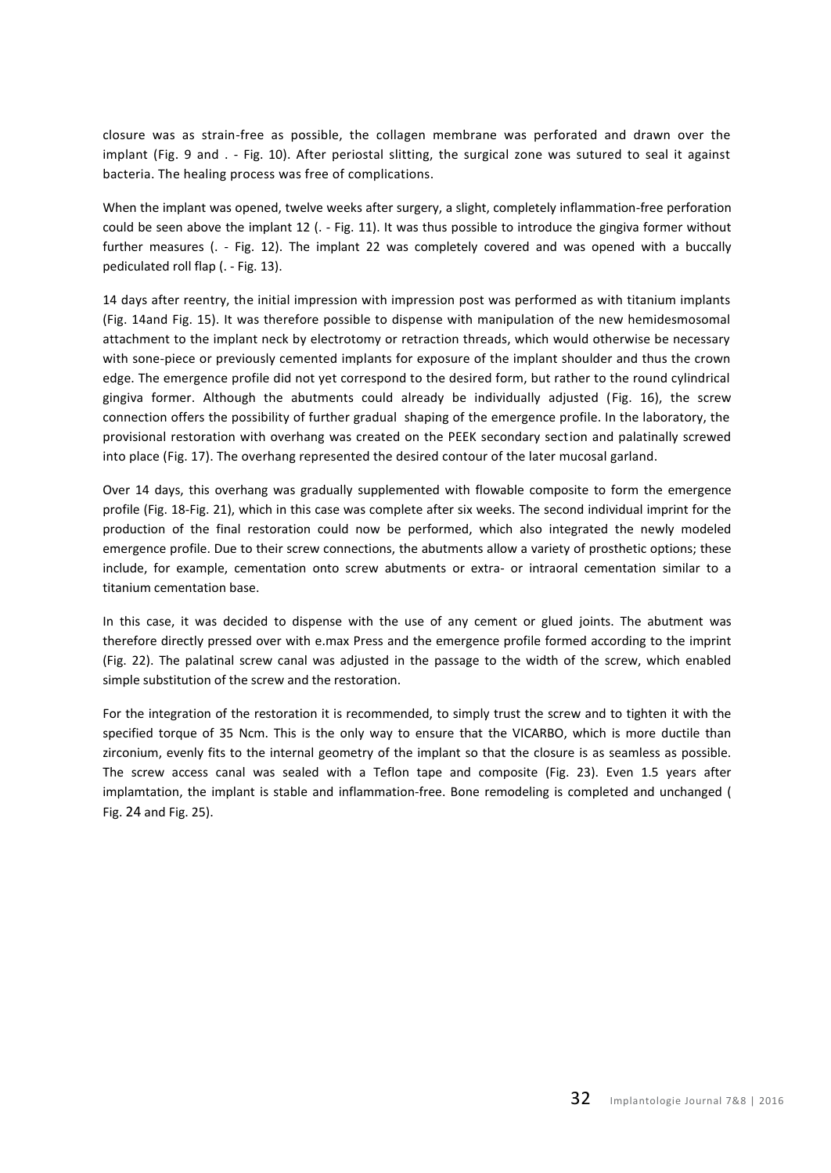closure was as strain-free as possible, the collagen membrane was perforated and drawn over the implant [\(Fig. 9](#page-3-0) and . - [Fig. 10\)](#page-3-1). After periostal slitting, the surgical zone was sutured to seal it against bacteria. The healing process was free of complications.

When the implant was opened, twelve weeks after surgery, a slight, completely inflammation-free perforation could be seen above the implant 12 (. - [Fig. 11\)](#page-3-2). It was thus possible to introduce the gingiva former without further measures (. - [Fig. 12\)](#page-3-3). The implant 22 was completely covered and was opened with a buccally pediculated roll flap (. - [Fig. 13\)](#page-3-4).

14 days after reentry, the initial impression with impression post was performed as with titanium implants [\(Fig. 14a](#page-4-0)nd [Fig. 15\)](#page-4-1). It was therefore possible to dispense with manipulation of the new hemidesmosomal attachment to the implant neck by electrotomy or retraction threads, which would otherwise be necessary with sone-piece or previously cemented implants for exposure of the implant shoulder and thus the crown edge. The emergence profile did not yet correspond to the desired form, but rather to the round cylindrical gingiva former. Although the abutments could already be individually adjusted [\(Fig. 16\)](#page-4-2), the screw connection offers the possibility of further gradual shaping of the emergence profile. In the laboratory, the provisional restoration with overhang was created on the PEEK secondary section and palatinally screwed into place [\(Fig.](#page-4-3) 17). The overhang represented the desired contour of the later mucosal garland.

Over 14 days, this overhang was gradually supplemented with flowable composite to form the emergence profile [\(Fig. 18](#page-4-4)[-Fig. 21\)](#page-4-5), which in this case was complete after six weeks. The second individual imprint for the production of the final restoration could now be performed, which also integrated the newly modeled emergence profile. Due to their screw connections, the abutments allow a variety of prosthetic options; these include, for example, cementation onto screw abutments or extra- or intraoral cementation similar to a titanium cementation base.

In this case, it was decided to dispense with the use of any cement or glued joints. The abutment was therefore directly pressed over with e.max Press and the emergence profile formed according to the imprint (Fig. 22). The palatinal screw canal was adjusted in the passage to the width of the screw, which enabled simple substitution of the screw and the restoration.

For the integration of the restoration it is recommended, to simply trust the screw and to tighten it with the specified torque of 35 Ncm. This is the only way to ensure that the VICARBO, which is more ductile than zirconium, evenly fits to the internal geometry of the implant so that the closure is as seamless as possible. The screw access canal was sealed with a Teflon tape and composite (Fig. 23). Even 1.5 years after implamtation, the implant is stable and inflammation-free. Bone remodeling is completed and unchanged [\(](#page-5-0) [Fig. 24](#page-5-0) and [Fig. 25\)](#page-5-1).